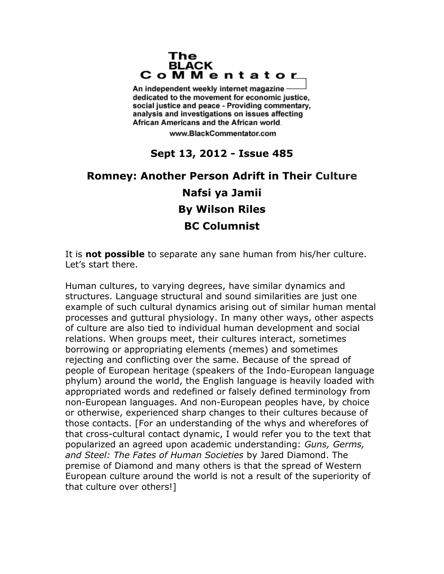## The **BLACK** CoMMentator

An independent weekly internet magazine dedicated to the movement for economic justice. social justice and peace - Providing commentary, analysis and investigations on issues affecting African Americans and the African world.

www.BlackCommentator.com

## **Sept 13, 2012 - Issue 485**

## **Romney: Another Person Adrift in Their Culture Nafsi ya Jamii By Wilson Riles BC Columnist**

It is **not possible** to separate any sane human from his/her culture. Let's start there.

Human cultures, to varying degrees, have similar dynamics and structures. Language structural and sound similarities are just one example of such cultural dynamics arising out of similar human mental processes and guttural physiology. In many other ways, other aspects of culture are also tied to individual human development and social relations. When groups meet, their cultures interact, sometimes borrowing or appropriating elements (memes) and sometimes rejecting and conflicting over the same. Because of the spread of people of European heritage (speakers of the Indo-European language phylum) around the world, the English language is heavily loaded with appropriated words and redefined or falsely defined terminology from non-European languages. And non-European peoples have, by choice or otherwise, experienced sharp changes to their cultures because of those contacts. [For an understanding of the whys and wherefores of that cross-cultural contact dynamic, I would refer you to the text that popularized an agreed upon academic understanding: *Guns, Germs, and Steel: The Fates of Human Societies* by Jared Diamond. The premise of Diamond and many others is that the spread of Western European culture around the world is not a result of the superiority of that culture over others!]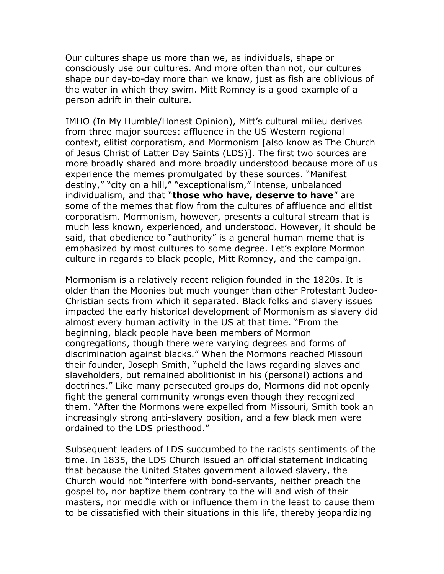Our cultures shape us more than we, as individuals, shape or consciously use our cultures. And more often than not, our cultures shape our day-to-day more than we know, just as fish are oblivious of the water in which they swim. Mitt Romney is a good example of a person adrift in their culture.

IMHO (In My Humble/Honest Opinion), Mitt's cultural milieu derives from three major sources: affluence in the US Western regional context, elitist corporatism, and Mormonism [also know as The Church of Jesus Christ of Latter Day Saints (LDS)]. The first two sources are more broadly shared and more broadly understood because more of us experience the memes promulgated by these sources. "Manifest destiny," "city on a hill," "exceptionalism," intense, unbalanced individualism, and that "**those who have, deserve to have**" are some of the memes that flow from the cultures of affluence and elitist corporatism. Mormonism, however, presents a cultural stream that is much less known, experienced, and understood. However, it should be said, that obedience to "authority" is a general human meme that is emphasized by most cultures to some degree. Let's explore Mormon culture in regards to black people, Mitt Romney, and the campaign.

Mormonism is a relatively recent religion founded in the 1820s. It is older than the Moonies but much younger than other Protestant Judeo-Christian sects from which it separated. Black folks and slavery issues impacted the early historical development of Mormonism as slavery did almost every human activity in the US at that time. "From the beginning, black people have been members of Mormon congregations, though there were varying degrees and forms of discrimination against blacks." When the Mormons reached Missouri their founder, Joseph Smith, "upheld the laws regarding slaves and slaveholders, but remained abolitionist in his (personal) actions and doctrines." Like many persecuted groups do, Mormons did not openly fight the general community wrongs even though they recognized them. "After the Mormons were expelled from Missouri, Smith took an increasingly strong anti-slavery position, and a few black men were ordained to the LDS priesthood."

Subsequent leaders of LDS succumbed to the racists sentiments of the time. In 1835, the LDS Church issued an official statement indicating that because the United States government allowed slavery, the Church would not "interfere with bond-servants, neither preach the gospel to, nor baptize them contrary to the will and wish of their masters, nor meddle with or influence them in the least to cause them to be dissatisfied with their situations in this life, thereby jeopardizing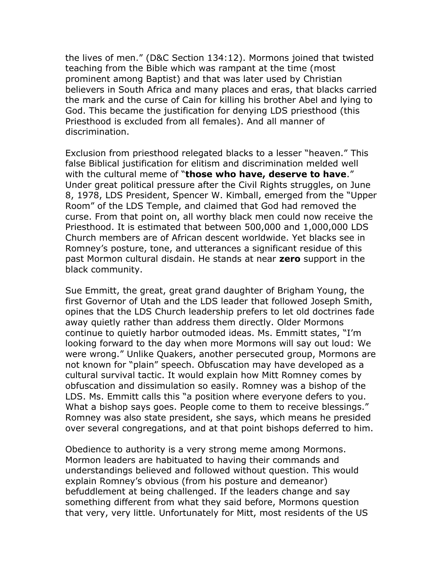the lives of men." (D&C Section 134:12). Mormons joined that twisted teaching from the Bible which was rampant at the time (most prominent among Baptist) and that was later used by Christian believers in South Africa and many places and eras, that blacks carried the mark and the curse of Cain for killing his brother Abel and lying to God. This became the justification for denying LDS priesthood (this Priesthood is excluded from all females). And all manner of discrimination.

Exclusion from priesthood relegated blacks to a lesser "heaven." This false Biblical justification for elitism and discrimination melded well with the cultural meme of "**those who have, deserve to have**." Under great political pressure after the Civil Rights struggles, on June 8, 1978, LDS President, Spencer W. Kimball, emerged from the "Upper Room" of the LDS Temple, and claimed that God had removed the curse. From that point on, all worthy black men could now receive the Priesthood. It is estimated that between 500,000 and 1,000,000 LDS Church members are of African descent worldwide. Yet blacks see in Romney's posture, tone, and utterances a significant residue of this past Mormon cultural disdain. He stands at near **zero** support in the black community.

Sue Emmitt, the great, great grand daughter of Brigham Young, the first Governor of Utah and the LDS leader that followed Joseph Smith, opines that the LDS Church leadership prefers to let old doctrines fade away quietly rather than address them directly. Older Mormons continue to quietly harbor outmoded ideas. Ms. Emmitt states, "I'm looking forward to the day when more Mormons will say out loud: We were wrong." Unlike Quakers, another persecuted group, Mormons are not known for "plain" speech. Obfuscation may have developed as a cultural survival tactic. It would explain how Mitt Romney comes by obfuscation and dissimulation so easily. Romney was a bishop of the LDS. Ms. Emmitt calls this "a position where everyone defers to you. What a bishop says goes. People come to them to receive blessings." Romney was also state president, she says, which means he presided over several congregations, and at that point bishops deferred to him.

Obedience to authority is a very strong meme among Mormons. Mormon leaders are habituated to having their commands and understandings believed and followed without question. This would explain Romney's obvious (from his posture and demeanor) befuddlement at being challenged. If the leaders change and say something different from what they said before, Mormons question that very, very little. Unfortunately for Mitt, most residents of the US